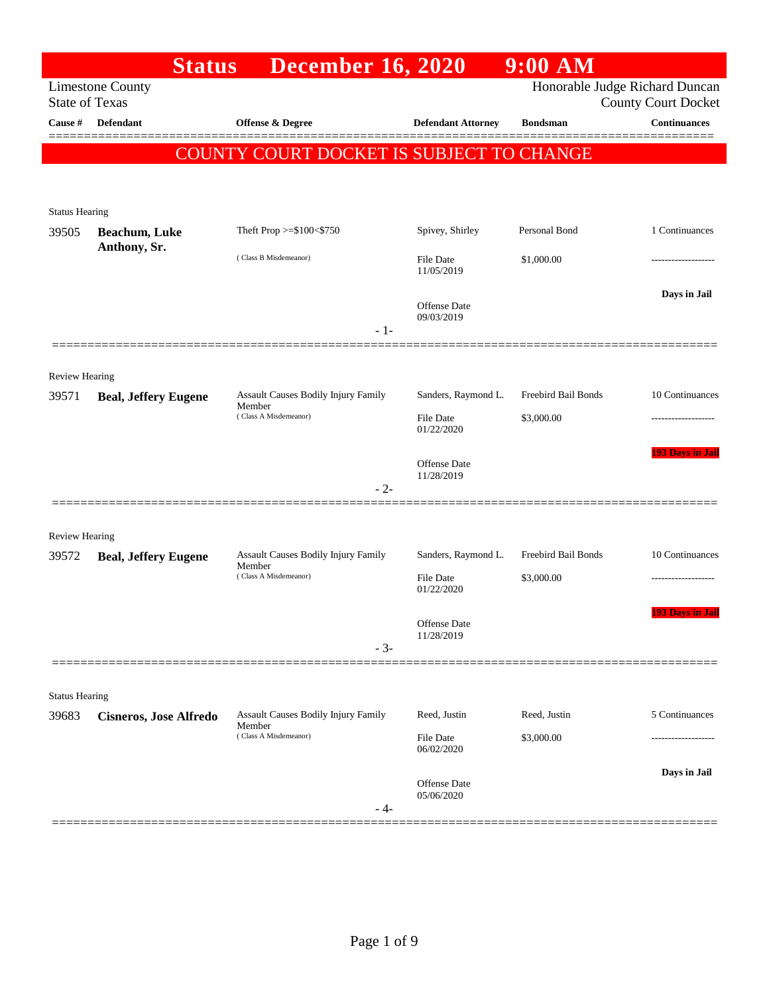|                       | <b>Status</b>                 | <b>December 16, 2020</b>                             |                                   | $9:00$ AM           |                                                              |
|-----------------------|-------------------------------|------------------------------------------------------|-----------------------------------|---------------------|--------------------------------------------------------------|
| <b>State of Texas</b> | <b>Limestone County</b>       |                                                      |                                   |                     | Honorable Judge Richard Duncan<br><b>County Court Docket</b> |
| Cause #               | Defendant                     | <b>Offense &amp; Degree</b>                          | <b>Defendant Attorney</b>         | <b>Bondsman</b>     | <b>Continuances</b>                                          |
|                       |                               | COUNTY COURT DOCKET IS SUBJECT TO CHANGE             |                                   |                     |                                                              |
| <b>Status Hearing</b> |                               |                                                      |                                   |                     |                                                              |
| 39505                 | <b>Beachum</b> , Luke         | Theft Prop $>=\$100<\$750$                           | Spivey, Shirley                   | Personal Bond       | 1 Continuances                                               |
|                       | Anthony, Sr.                  | (Class B Misdemeanor)                                | File Date<br>11/05/2019           | \$1,000.00          |                                                              |
|                       |                               | $-1-$                                                | <b>Offense</b> Date<br>09/03/2019 |                     | Days in Jail                                                 |
| <b>Review Hearing</b> |                               |                                                      |                                   |                     |                                                              |
| 39571                 | <b>Beal, Jeffery Eugene</b>   | Assault Causes Bodily Injury Family<br>Member        | Sanders, Raymond L.               | Freebird Bail Bonds | 10 Continuances                                              |
|                       |                               | (Class A Misdemeanor)                                | File Date<br>01/22/2020           | \$3,000.00          |                                                              |
|                       |                               |                                                      | Offense Date<br>11/28/2019        |                     | <b>193 Days in Jail</b>                                      |
|                       |                               | $-2-$                                                |                                   |                     |                                                              |
| <b>Review Hearing</b> |                               |                                                      |                                   |                     |                                                              |
| 39572                 | <b>Beal, Jeffery Eugene</b>   | <b>Assault Causes Bodily Injury Family</b><br>Member | Sanders, Raymond L.               | Freebird Bail Bonds | 10 Continuances                                              |
|                       |                               | (Class A Misdemeanor)                                | File Date<br>01/22/2020           | \$3,000.00          | ----------------                                             |
|                       |                               | $-3-$                                                | Offense Date<br>11/28/2019        |                     | <b>193 Days in Jail</b>                                      |
|                       |                               |                                                      |                                   |                     |                                                              |
| <b>Status Hearing</b> |                               |                                                      |                                   |                     |                                                              |
| 39683                 | <b>Cisneros, Jose Alfredo</b> | <b>Assault Causes Bodily Injury Family</b><br>Member | Reed, Justin                      | Reed, Justin        | 5 Continuances                                               |
|                       |                               | (Class A Misdemeanor)                                | File Date<br>06/02/2020           | \$3,000.00          | .                                                            |
|                       |                               | - 4-                                                 | <b>Offense</b> Date<br>05/06/2020 |                     | Days in Jail                                                 |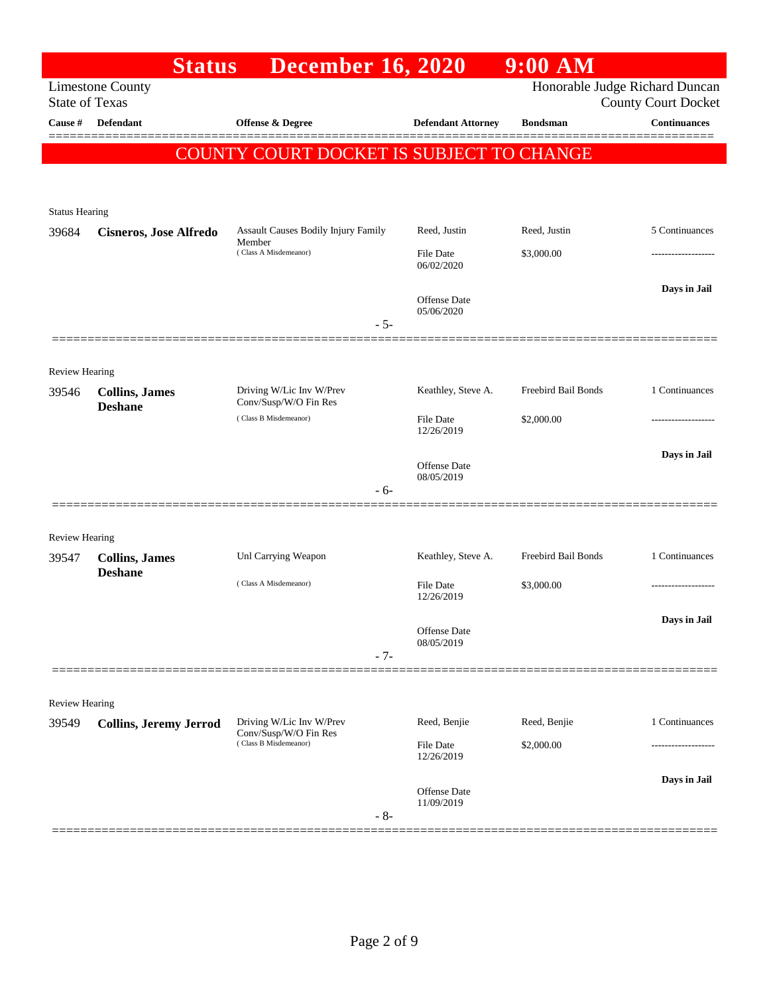|                                  | <b>Status</b>                 | <b>December 16, 2020</b>                                                   |                                | $9:00$ AM           |                                                   |
|----------------------------------|-------------------------------|----------------------------------------------------------------------------|--------------------------------|---------------------|---------------------------------------------------|
|                                  | <b>Limestone County</b>       |                                                                            |                                |                     | Honorable Judge Richard Duncan                    |
| <b>State of Texas</b><br>Cause # | <b>Defendant</b>              | Offense & Degree                                                           |                                | <b>Bondsman</b>     | <b>County Court Docket</b><br><b>Continuances</b> |
|                                  |                               |                                                                            | <b>Defendant Attorney</b>      |                     |                                                   |
|                                  |                               | COUNTY COURT DOCKET IS SUBJECT TO CHANGE                                   |                                |                     |                                                   |
|                                  |                               |                                                                            |                                |                     |                                                   |
| <b>Status Hearing</b>            |                               |                                                                            |                                |                     |                                                   |
| 39684                            | <b>Cisneros, Jose Alfredo</b> | Assault Causes Bodily Injury Family                                        | Reed, Justin                   | Reed, Justin        | 5 Continuances                                    |
|                                  |                               | Member<br>(Class A Misdemeanor)                                            | <b>File Date</b>               | \$3,000.00          |                                                   |
|                                  |                               |                                                                            | 06/02/2020                     |                     |                                                   |
|                                  |                               |                                                                            | <b>Offense</b> Date            |                     | Days in Jail                                      |
|                                  |                               | $-5-$                                                                      | 05/06/2020                     |                     |                                                   |
|                                  |                               |                                                                            |                                |                     |                                                   |
| <b>Review Hearing</b>            |                               |                                                                            |                                |                     |                                                   |
| 39546                            | <b>Collins</b> , James        | Driving W/Lic Inv W/Prev                                                   | Keathley, Steve A.             | Freebird Bail Bonds | 1 Continuances                                    |
|                                  | <b>Deshane</b>                | Conv/Susp/W/O Fin Res<br>(Class B Misdemeanor)                             | <b>File Date</b>               | \$2,000.00          |                                                   |
|                                  |                               |                                                                            | 12/26/2019                     |                     |                                                   |
|                                  |                               |                                                                            | <b>Offense</b> Date            |                     | Days in Jail                                      |
|                                  |                               |                                                                            | 08/05/2019                     |                     |                                                   |
|                                  |                               | - 6-                                                                       |                                |                     |                                                   |
|                                  |                               |                                                                            |                                |                     |                                                   |
| <b>Review Hearing</b><br>39547   | <b>Collins</b> , James        | Unl Carrying Weapon                                                        | Keathley, Steve A.             | Freebird Bail Bonds | 1 Continuances                                    |
|                                  | <b>Deshane</b>                | (Class A Misdemeanor)                                                      |                                |                     |                                                   |
|                                  |                               |                                                                            | <b>File Date</b><br>12/26/2019 | \$3,000.00          |                                                   |
|                                  |                               |                                                                            |                                |                     | Days in Jail                                      |
|                                  |                               |                                                                            | Offense Date<br>08/05/2019     |                     |                                                   |
|                                  |                               | $-7-$                                                                      |                                |                     |                                                   |
|                                  |                               |                                                                            |                                |                     |                                                   |
| <b>Review Hearing</b>            |                               |                                                                            |                                |                     |                                                   |
| 39549                            | <b>Collins, Jeremy Jerrod</b> | Driving W/Lic Inv W/Prev<br>Conv/Susp/W/O Fin Res<br>(Class B Misdemeanor) | Reed, Benjie                   | Reed, Benjie        | 1 Continuances                                    |
|                                  |                               |                                                                            | <b>File Date</b><br>12/26/2019 | \$2,000.00          |                                                   |
|                                  |                               |                                                                            |                                |                     | Days in Jail                                      |
|                                  |                               |                                                                            | Offense Date<br>11/09/2019     |                     |                                                   |
|                                  |                               | $-8-$                                                                      |                                |                     |                                                   |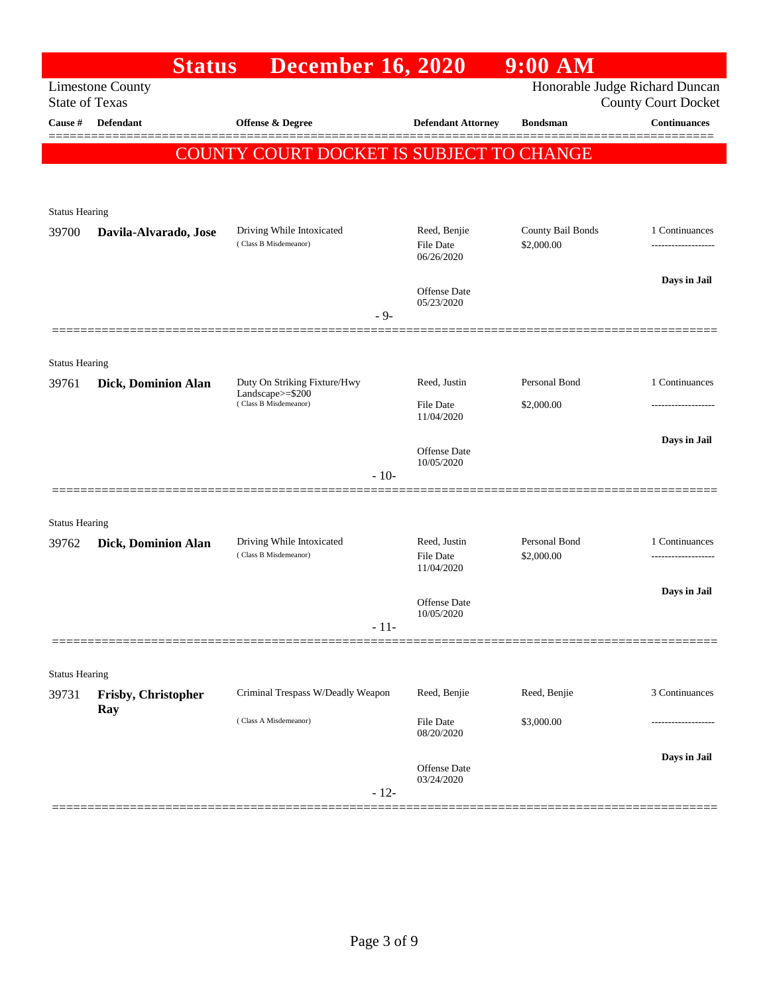|                       | <b>Status</b>              | <b>December 16, 2020</b>                                                  |                                                | $9:00$ AM                       |                                                              |
|-----------------------|----------------------------|---------------------------------------------------------------------------|------------------------------------------------|---------------------------------|--------------------------------------------------------------|
| <b>State of Texas</b> | <b>Limestone County</b>    |                                                                           |                                                |                                 | Honorable Judge Richard Duncan<br><b>County Court Docket</b> |
| <b>Cause</b> #        | Defendant                  | <b>Offense &amp; Degree</b>                                               | <b>Defendant Attorney</b>                      | <b>Bondsman</b>                 | Continuances                                                 |
|                       |                            | <b>COUNTY COURT DOCKET IS SUBJECT TO CHANGE</b>                           |                                                |                                 |                                                              |
| <b>Status Hearing</b> |                            |                                                                           |                                                |                                 |                                                              |
| 39700                 | Davila-Alvarado, Jose      | Driving While Intoxicated<br>(Class B Misdemeanor)                        | Reed, Benjie<br>File Date<br>06/26/2020        | County Bail Bonds<br>\$2,000.00 | 1 Continuances<br>                                           |
|                       |                            | $-9-$                                                                     | Offense Date<br>05/23/2020                     |                                 | Days in Jail                                                 |
| <b>Status Hearing</b> |                            |                                                                           |                                                |                                 |                                                              |
| 39761                 | <b>Dick, Dominion Alan</b> | Duty On Striking Fixture/Hwy<br>Landscape>=\$200<br>(Class B Misdemeanor) | Reed, Justin<br><b>File Date</b><br>11/04/2020 | Personal Bond<br>\$2,000.00     | 1 Continuances                                               |
|                       |                            | $-10-$                                                                    | Offense Date<br>10/05/2020                     |                                 | Days in Jail                                                 |
| <b>Status Hearing</b> |                            |                                                                           |                                                |                                 |                                                              |
| 39762                 | Dick, Dominion Alan        | Driving While Intoxicated<br>(Class B Misdemeanor)                        | Reed, Justin<br><b>File Date</b><br>11/04/2020 | Personal Bond<br>\$2,000.00     | 1 Continuances<br>-------------------                        |
|                       |                            | $-11-$                                                                    | Offense Date<br>10/05/2020                     |                                 | Days in Jail                                                 |
| <b>Status Hearing</b> |                            |                                                                           |                                                |                                 |                                                              |
| 39731                 | Frisby, Christopher        | Criminal Trespass W/Deadly Weapon                                         | Reed, Benjie                                   | Reed, Benjie                    | 3 Continuances                                               |
|                       | Ray                        | (Class A Misdemeanor)                                                     | File Date<br>08/20/2020                        | \$3,000.00                      |                                                              |
|                       |                            | $-12-$                                                                    | Offense Date<br>03/24/2020                     |                                 | Days in Jail                                                 |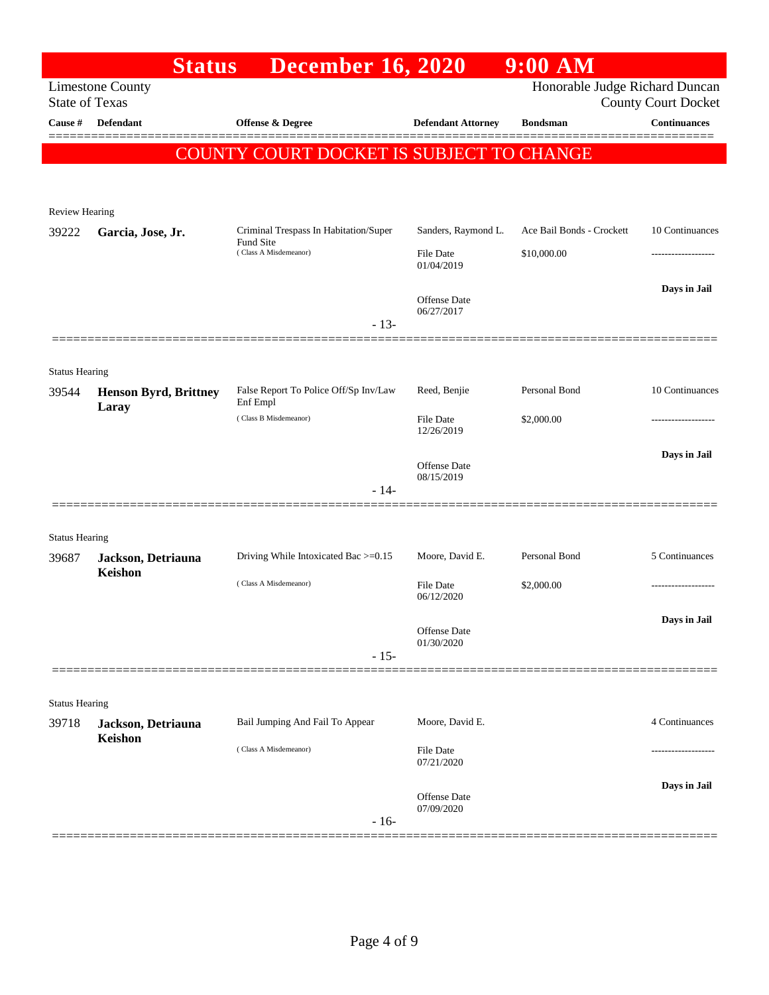|                                  | <b>Status</b>                | <b>December 16, 2020</b>                          |                                   | $9:00$ AM                      |                                                   |
|----------------------------------|------------------------------|---------------------------------------------------|-----------------------------------|--------------------------------|---------------------------------------------------|
|                                  | <b>Limestone County</b>      |                                                   |                                   | Honorable Judge Richard Duncan |                                                   |
| <b>State of Texas</b><br>Cause # | <b>Defendant</b>             | Offense & Degree                                  | <b>Defendant Attorney</b>         | <b>Bondsman</b>                | <b>County Court Docket</b><br><b>Continuances</b> |
|                                  |                              |                                                   |                                   |                                |                                                   |
|                                  |                              | COUNTY COURT DOCKET IS SUBJECT TO CHANGE          |                                   |                                |                                                   |
|                                  |                              |                                                   |                                   |                                |                                                   |
| Review Hearing                   |                              |                                                   |                                   |                                |                                                   |
| 39222                            | Garcia, Jose, Jr.            | Criminal Trespass In Habitation/Super             | Sanders, Raymond L.               | Ace Bail Bonds - Crockett      | 10 Continuances                                   |
|                                  |                              | Fund Site<br>(Class A Misdemeanor)                | <b>File Date</b><br>01/04/2019    | \$10,000.00                    |                                                   |
|                                  |                              |                                                   | <b>Offense Date</b><br>06/27/2017 |                                | Days in Jail                                      |
|                                  |                              | $-13-$                                            |                                   |                                |                                                   |
|                                  |                              |                                                   |                                   |                                |                                                   |
| <b>Status Hearing</b>            |                              |                                                   |                                   |                                |                                                   |
| 39544                            | <b>Henson Byrd, Brittney</b> | False Report To Police Off/Sp Inv/Law<br>Enf Empl | Reed, Benjie                      | Personal Bond                  | 10 Continuances                                   |
|                                  | Laray                        | (Class B Misdemeanor)                             | <b>File Date</b><br>12/26/2019    | \$2,000.00                     |                                                   |
|                                  |                              |                                                   | <b>Offense Date</b>               |                                | Days in Jail                                      |
|                                  |                              | $-14-$                                            | 08/15/2019                        |                                |                                                   |
|                                  |                              |                                                   |                                   |                                |                                                   |
| <b>Status Hearing</b>            |                              |                                                   |                                   |                                |                                                   |
| 39687                            | Jackson, Detriauna           | Driving While Intoxicated Bac >=0.15              | Moore, David E.                   | Personal Bond                  | 5 Continuances                                    |
|                                  | Keishon                      | (Class A Misdemeanor)                             | <b>File Date</b>                  | \$2,000.00                     |                                                   |
|                                  |                              |                                                   | 06/12/2020                        |                                |                                                   |
|                                  |                              |                                                   | Offense Date                      |                                | Days in Jail                                      |
|                                  |                              | $-15-$                                            | 01/30/2020                        |                                |                                                   |
|                                  |                              |                                                   |                                   |                                |                                                   |
| <b>Status Hearing</b>            |                              |                                                   |                                   |                                |                                                   |
| 39718                            | Jackson, Detriauna           | Bail Jumping And Fail To Appear                   | Moore, David E.                   |                                | 4 Continuances                                    |
|                                  | Keishon                      | (Class A Misdemeanor)                             | <b>File Date</b><br>07/21/2020    |                                |                                                   |
|                                  |                              |                                                   |                                   |                                | Days in Jail                                      |
|                                  |                              | $-16-$                                            | <b>Offense Date</b><br>07/09/2020 |                                |                                                   |
|                                  |                              |                                                   |                                   |                                |                                                   |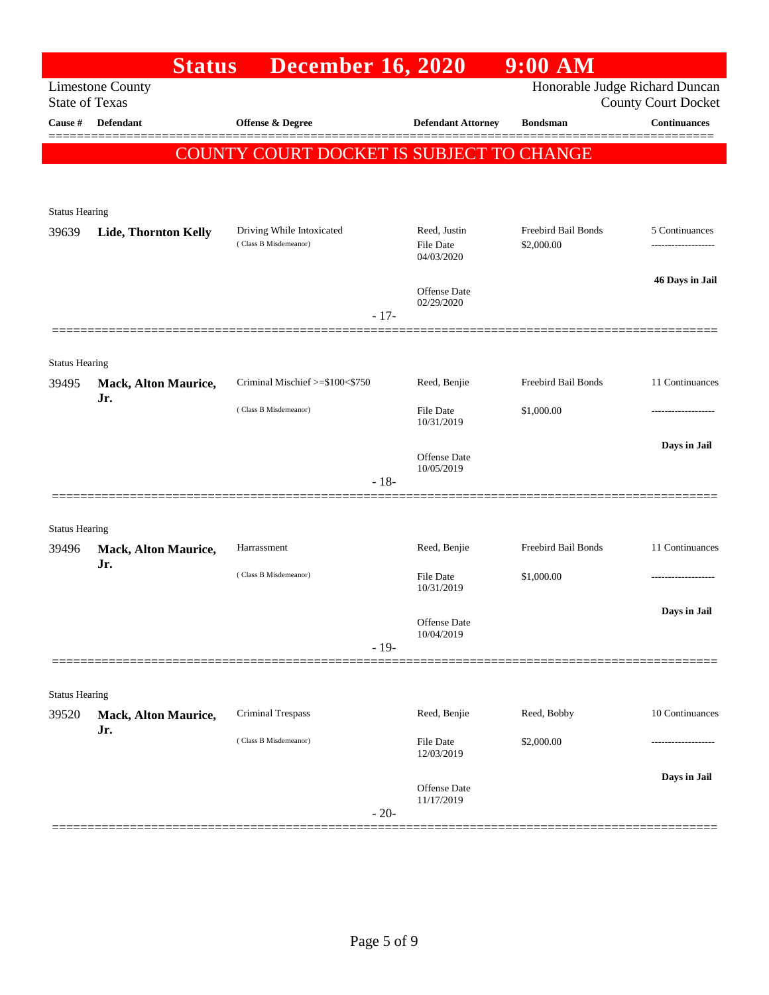|                                | <b>Status</b>                      | <b>December 16, 2020</b>                 |                                   | $9:00$ AM                      |                            |
|--------------------------------|------------------------------------|------------------------------------------|-----------------------------------|--------------------------------|----------------------------|
| <b>State of Texas</b>          | <b>Limestone County</b>            |                                          |                                   | Honorable Judge Richard Duncan | <b>County Court Docket</b> |
| Cause #                        | Defendant                          | <b>Offense &amp; Degree</b>              | <b>Defendant Attorney</b>         | <b>Bondsman</b>                | <b>Continuances</b>        |
|                                |                                    | COUNTY COURT DOCKET IS SUBJECT TO CHANGE |                                   |                                |                            |
|                                |                                    |                                          |                                   |                                |                            |
|                                |                                    |                                          |                                   |                                |                            |
| <b>Status Hearing</b><br>39639 | Lide, Thornton Kelly               | Driving While Intoxicated                | Reed, Justin                      | Freebird Bail Bonds            | 5 Continuances             |
|                                |                                    | (Class B Misdemeanor)                    | <b>File Date</b><br>04/03/2020    | \$2,000.00                     | -----------------          |
|                                |                                    |                                          |                                   |                                | 46 Days in Jail            |
|                                |                                    |                                          | <b>Offense Date</b><br>02/29/2020 |                                |                            |
|                                |                                    | $-17-$                                   |                                   |                                |                            |
|                                |                                    |                                          |                                   |                                |                            |
| <b>Status Hearing</b><br>39495 | <b>Mack, Alton Maurice,</b>        | Criminal Mischief >=\$100<\$750          | Reed, Benjie                      | Freebird Bail Bonds            | 11 Continuances            |
|                                | Jr.                                | (Class B Misdemeanor)                    |                                   |                                |                            |
|                                |                                    |                                          | <b>File Date</b><br>10/31/2019    | \$1,000.00                     |                            |
|                                |                                    |                                          | <b>Offense Date</b>               |                                | Days in Jail               |
|                                |                                    | $-18-$                                   | 10/05/2019                        |                                |                            |
|                                |                                    |                                          |                                   |                                |                            |
| <b>Status Hearing</b>          |                                    |                                          |                                   |                                |                            |
| 39496                          | <b>Mack, Alton Maurice,</b>        | Harrassment                              | Reed, Benjie                      | Freebird Bail Bonds            | 11 Continuances            |
|                                | Jr.                                | (Class B Misdemeanor)                    | <b>File Date</b>                  | \$1,000.00                     |                            |
|                                |                                    |                                          | 10/31/2019                        |                                |                            |
|                                |                                    |                                          | Offense Date<br>10/04/2019        |                                | Days in Jail               |
|                                |                                    | $-19-$                                   |                                   |                                |                            |
|                                |                                    |                                          |                                   |                                |                            |
| <b>Status Hearing</b>          |                                    |                                          |                                   |                                |                            |
| 39520                          | <b>Mack, Alton Maurice,</b><br>Jr. | Criminal Trespass                        | Reed, Benjie                      | Reed, Bobby                    | 10 Continuances            |
|                                |                                    | (Class B Misdemeanor)                    | <b>File Date</b><br>12/03/2019    | \$2,000.00                     |                            |
|                                |                                    |                                          |                                   |                                | Days in Jail               |
|                                |                                    |                                          | Offense Date<br>11/17/2019        |                                |                            |
|                                |                                    | $-20-$                                   |                                   |                                |                            |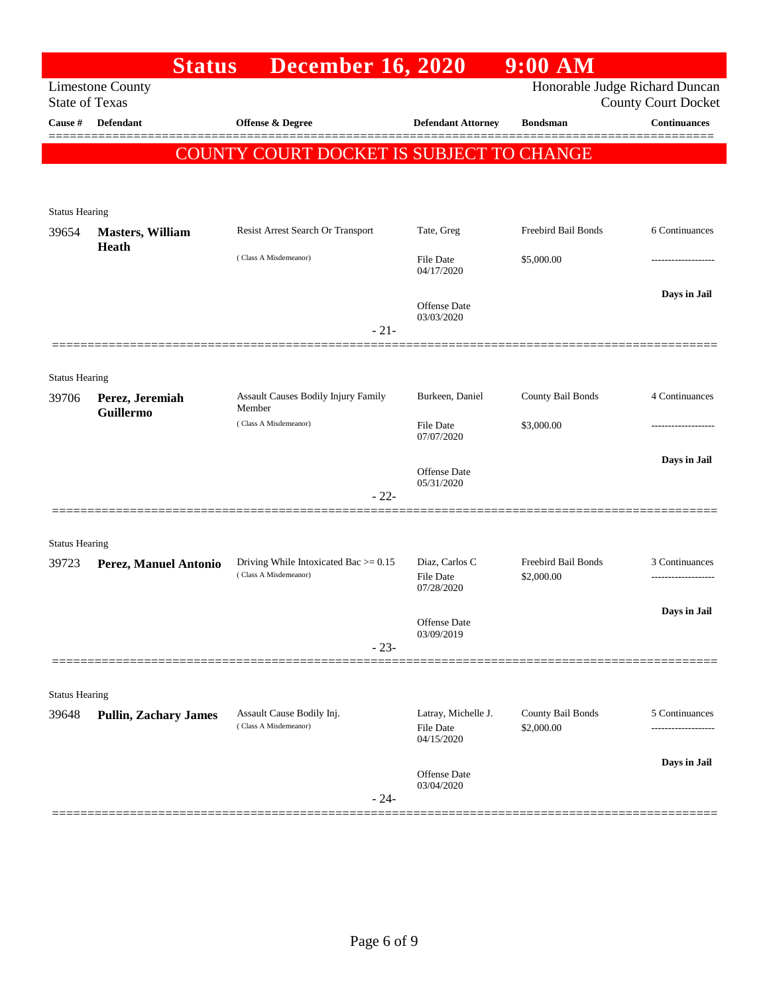|                                | <b>Status</b>                    | <b>December 16, 2020</b>                           |                                                | 9:00 AM                         |                                                              |
|--------------------------------|----------------------------------|----------------------------------------------------|------------------------------------------------|---------------------------------|--------------------------------------------------------------|
| <b>State of Texas</b>          | <b>Limestone County</b>          |                                                    |                                                |                                 | Honorable Judge Richard Duncan<br><b>County Court Docket</b> |
| Cause #                        | Defendant                        | <b>Offense &amp; Degree</b>                        | <b>Defendant Attorney</b>                      | <b>Bondsman</b>                 | <b>Continuances</b>                                          |
|                                |                                  | COUNTY COURT DOCKET IS SUBJECT TO CHANGE           |                                                |                                 |                                                              |
|                                |                                  |                                                    |                                                |                                 |                                                              |
| <b>Status Hearing</b>          |                                  |                                                    |                                                |                                 |                                                              |
| 39654                          | <b>Masters, William</b><br>Heath | Resist Arrest Search Or Transport                  | Tate, Greg                                     | Freebird Bail Bonds             | 6 Continuances                                               |
|                                |                                  | (Class A Misdemeanor)                              | File Date<br>04/17/2020                        | \$5,000.00                      |                                                              |
|                                |                                  | $-21-$                                             | <b>Offense</b> Date<br>03/03/2020              |                                 | Days in Jail                                                 |
|                                |                                  |                                                    |                                                |                                 |                                                              |
| <b>Status Hearing</b>          |                                  |                                                    |                                                |                                 |                                                              |
| 39706                          | Perez, Jeremiah                  | <b>Assault Causes Bodily Injury Family</b>         | Burkeen, Daniel                                | County Bail Bonds               | 4 Continuances                                               |
|                                | Guillermo                        | Member<br>(Class A Misdemeanor)                    | File Date                                      | \$3,000.00                      |                                                              |
|                                |                                  |                                                    | 07/07/2020                                     |                                 | Days in Jail                                                 |
|                                |                                  |                                                    | <b>Offense</b> Date<br>05/31/2020              |                                 |                                                              |
|                                |                                  | $-22-$                                             |                                                |                                 |                                                              |
|                                |                                  |                                                    |                                                |                                 |                                                              |
| <b>Status Hearing</b><br>39723 | Perez, Manuel Antonio            | Driving While Intoxicated Bac $>= 0.15$            | Diaz, Carlos C                                 | Freebird Bail Bonds             | 3 Continuances                                               |
|                                |                                  | (Class A Misdemeanor)                              | File Date<br>07/28/2020                        | \$2,000.00                      |                                                              |
|                                |                                  |                                                    | Offense Date                                   |                                 | Days in Jail                                                 |
|                                |                                  | $-23-$                                             | 03/09/2019                                     |                                 |                                                              |
|                                |                                  |                                                    |                                                |                                 |                                                              |
| <b>Status Hearing</b>          |                                  |                                                    |                                                |                                 |                                                              |
| 39648                          | <b>Pullin, Zachary James</b>     | Assault Cause Bodily Inj.<br>(Class A Misdemeanor) | Latray, Michelle J.<br>File Date<br>04/15/2020 | County Bail Bonds<br>\$2,000.00 | 5 Continuances                                               |
|                                |                                  |                                                    |                                                |                                 | Days in Jail                                                 |
|                                |                                  | $-24-$                                             | Offense Date<br>03/04/2020                     |                                 |                                                              |
|                                |                                  |                                                    |                                                |                                 |                                                              |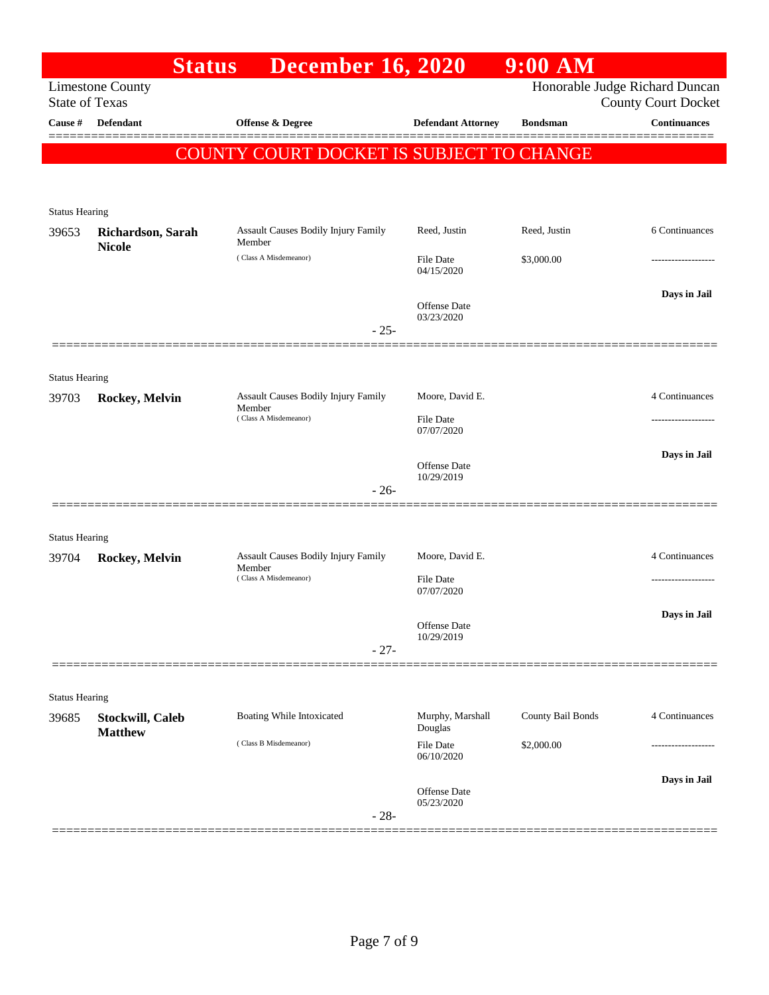|                       | <b>Status</b>                      | <b>December 16, 2020</b>                        |                                | $9:00$ AM         |                                |
|-----------------------|------------------------------------|-------------------------------------------------|--------------------------------|-------------------|--------------------------------|
|                       | <b>Limestone County</b>            |                                                 |                                |                   | Honorable Judge Richard Duncan |
| <b>State of Texas</b> |                                    |                                                 |                                |                   | <b>County Court Docket</b>     |
| Cause #               | Defendant                          | Offense & Degree                                | <b>Defendant Attorney</b>      | <b>Bondsman</b>   | <b>Continuances</b>            |
|                       |                                    | <b>COUNTY COURT DOCKET IS SUBJECT TO CHANGE</b> |                                |                   |                                |
|                       |                                    |                                                 |                                |                   |                                |
|                       |                                    |                                                 |                                |                   |                                |
| <b>Status Hearing</b> |                                    |                                                 |                                |                   |                                |
| 39653                 | Richardson, Sarah<br><b>Nicole</b> | Assault Causes Bodily Injury Family<br>Member   | Reed, Justin                   | Reed, Justin      | 6 Continuances                 |
|                       |                                    | (Class A Misdemeanor)                           | File Date                      | \$3,000.00        |                                |
|                       |                                    |                                                 | 04/15/2020                     |                   |                                |
|                       |                                    |                                                 | Offense Date                   |                   | Days in Jail                   |
|                       |                                    | $-25-$                                          | 03/23/2020                     |                   |                                |
|                       |                                    |                                                 |                                |                   |                                |
|                       |                                    |                                                 |                                |                   |                                |
| <b>Status Hearing</b> |                                    | Assault Causes Bodily Injury Family             | Moore, David E.                |                   | 4 Continuances                 |
| 39703                 | Rockey, Melvin                     | Member<br>(Class A Misdemeanor)                 |                                |                   |                                |
|                       |                                    |                                                 | <b>File Date</b><br>07/07/2020 |                   |                                |
|                       |                                    |                                                 |                                |                   | Days in Jail                   |
|                       |                                    |                                                 | Offense Date<br>10/29/2019     |                   |                                |
|                       |                                    | $-26-$                                          |                                |                   |                                |
|                       |                                    |                                                 |                                |                   |                                |
| <b>Status Hearing</b> |                                    |                                                 |                                |                   |                                |
| 39704                 | Rockey, Melvin                     | Assault Causes Bodily Injury Family<br>Member   | Moore, David E.                |                   | 4 Continuances                 |
|                       |                                    | (Class A Misdemeanor)                           | File Date                      |                   |                                |
|                       |                                    |                                                 | 07/07/2020                     |                   |                                |
|                       |                                    |                                                 | Offense Date                   |                   | Days in Jail                   |
|                       |                                    | $-27-$                                          | 10/29/2019                     |                   |                                |
|                       |                                    |                                                 |                                |                   |                                |
| <b>Status Hearing</b> |                                    |                                                 |                                |                   |                                |
| 39685                 | <b>Stockwill, Caleb</b>            | Boating While Intoxicated                       | Murphy, Marshall               | County Bail Bonds | 4 Continuances                 |
|                       | <b>Matthew</b>                     |                                                 | Douglas                        |                   |                                |
|                       |                                    | (Class B Misdemeanor)                           | <b>File Date</b><br>06/10/2020 | \$2,000.00        |                                |
|                       |                                    |                                                 |                                |                   | Days in Jail                   |
|                       |                                    |                                                 | Offense Date<br>05/23/2020     |                   |                                |
|                       |                                    | $-28-$                                          |                                |                   |                                |
|                       |                                    |                                                 |                                |                   |                                |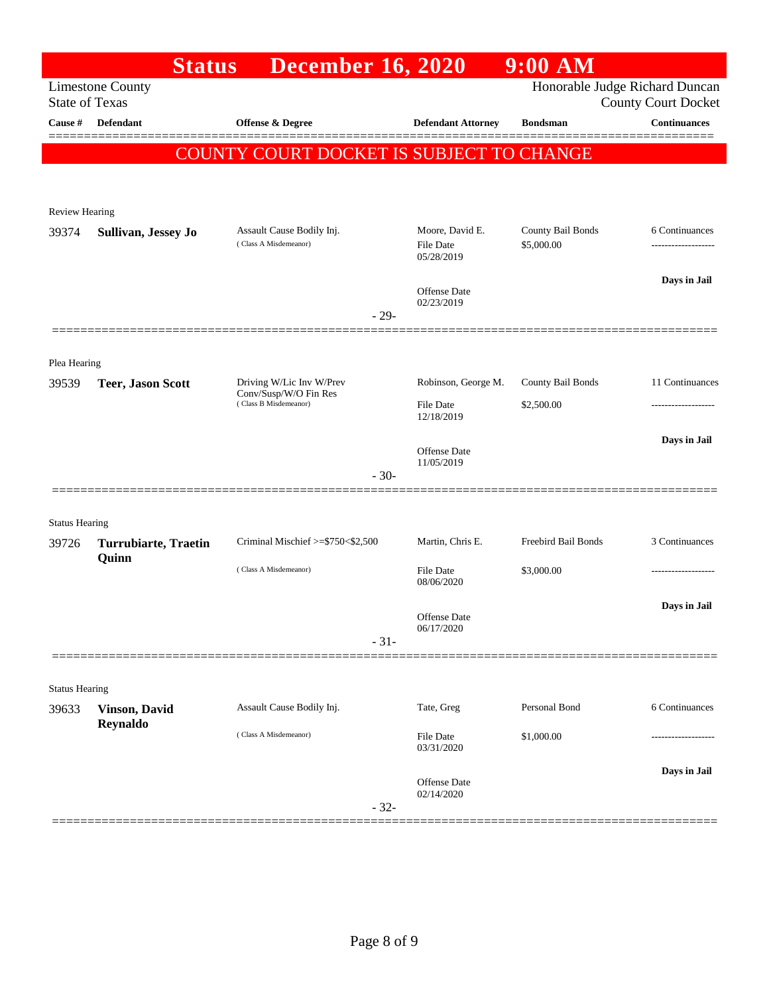|                       | <b>Status</b>                        | <b>December 16, 2020</b>                                                   |                                         | $9:00$ AM                       |                                                              |
|-----------------------|--------------------------------------|----------------------------------------------------------------------------|-----------------------------------------|---------------------------------|--------------------------------------------------------------|
| <b>State of Texas</b> | <b>Limestone County</b>              |                                                                            |                                         |                                 | Honorable Judge Richard Duncan<br><b>County Court Docket</b> |
| Cause #               | <b>Defendant</b>                     | <b>Offense &amp; Degree</b>                                                | <b>Defendant Attorney</b>               | <b>Bondsman</b>                 | <b>Continuances</b>                                          |
|                       |                                      | COUNTY COURT DOCKET IS SUBJECT TO CHANGE                                   |                                         |                                 |                                                              |
|                       |                                      |                                                                            |                                         |                                 |                                                              |
| Review Hearing        |                                      |                                                                            |                                         |                                 |                                                              |
| 39374                 | Sullivan, Jessey Jo                  | Assault Cause Bodily Inj.                                                  | Moore, David E.                         | County Bail Bonds               | 6 Continuances                                               |
|                       |                                      | (Class A Misdemeanor)                                                      | <b>File Date</b><br>05/28/2019          | \$5,000.00                      |                                                              |
|                       |                                      |                                                                            | Offense Date                            |                                 | Days in Jail                                                 |
|                       |                                      | $-29-$                                                                     | 02/23/2019                              |                                 |                                                              |
|                       |                                      |                                                                            |                                         |                                 |                                                              |
| Plea Hearing          |                                      |                                                                            |                                         |                                 |                                                              |
| 39539                 | <b>Teer, Jason Scott</b>             | Driving W/Lic Inv W/Prev<br>Conv/Susp/W/O Fin Res<br>(Class B Misdemeanor) | Robinson, George M.<br><b>File Date</b> | County Bail Bonds<br>\$2,500.00 | 11 Continuances<br>-----------------                         |
|                       |                                      |                                                                            | 12/18/2019                              |                                 |                                                              |
|                       |                                      |                                                                            | Offense Date                            |                                 | Days in Jail                                                 |
|                       |                                      | $-30-$                                                                     | 11/05/2019                              |                                 |                                                              |
|                       |                                      |                                                                            |                                         |                                 |                                                              |
| <b>Status Hearing</b> |                                      |                                                                            |                                         |                                 |                                                              |
| 39726                 | <b>Turrubiarte, Traetin</b><br>Quinn | Criminal Mischief >=\$750<\$2,500                                          | Martin, Chris E.                        | Freebird Bail Bonds             | 3 Continuances                                               |
|                       |                                      | (Class A Misdemeanor)                                                      | <b>File Date</b><br>08/06/2020          | \$3,000.00                      | -----------------                                            |
|                       |                                      |                                                                            | Offense Date                            |                                 | Days in Jail                                                 |
|                       |                                      | $-31-$                                                                     | 06/17/2020                              |                                 |                                                              |
|                       |                                      |                                                                            |                                         |                                 |                                                              |
| <b>Status Hearing</b> |                                      |                                                                            |                                         |                                 |                                                              |
| 39633                 | <b>Vinson</b> , David<br>Reynaldo    | Assault Cause Bodily Inj.                                                  | Tate, Greg                              | Personal Bond                   | 6 Continuances                                               |
|                       |                                      | (Class A Misdemeanor)                                                      | File Date<br>03/31/2020                 | \$1,000.00                      | ---------------                                              |
|                       |                                      |                                                                            |                                         |                                 | Days in Jail                                                 |
|                       |                                      |                                                                            | Offense Date<br>02/14/2020              |                                 |                                                              |
|                       |                                      | $-32-$                                                                     |                                         |                                 |                                                              |